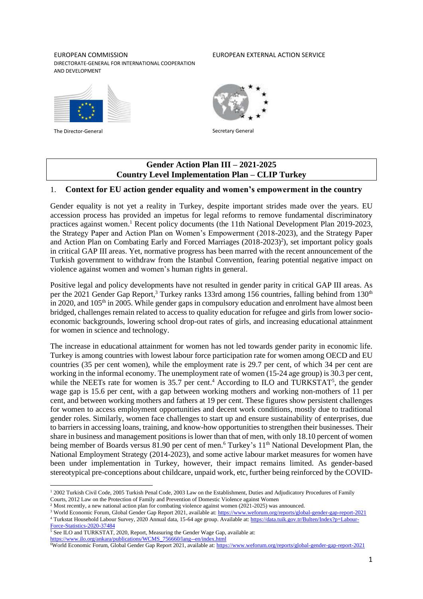#### EUROPEAN COMMISSION DIRECTORATE-GENERAL FOR INTERNATIONAL COOPERATION AND DEVELOPMENT

#### EUROPEAN EXTERNAL ACTION SERVICE



The Director-General Secretary General Secretary General Secretary General Secretary General



# **Gender Action Plan III – 2021-2025 Country Level Implementation Plan – CLIP Turkey**

### 1. **Context for EU action gender equality and women's empowerment in the country**

Gender equality is not yet a reality in Turkey, despite important strides made over the years. EU accession process has provided an impetus for legal reforms to remove fundamental discriminatory practices against women.<sup>1</sup> Recent policy documents (the 11th National Development Plan 2019-2023, the Strategy Paper and Action Plan on Women's Empowerment (2018-2023), and the Strategy Paper and Action Plan on Combating Early and Forced Marriages (2018-2023)<sup>2</sup>), set important policy goals in critical GAP III areas. Yet, normative progress has been marred with the recent announcement of the Turkish government to withdraw from the Istanbul Convention, fearing potential negative impact on violence against women and women's human rights in general.

Positive legal and policy developments have not resulted in gender parity in critical GAP III areas. As per the 2021 Gender Gap Report,<sup>3</sup> Turkey ranks 133rd among 156 countries, falling behind from 130<sup>th</sup> in 2020, and  $105<sup>th</sup>$  in 2005. While gender gaps in compulsory education and enrolment have almost been bridged, challenges remain related to access to quality education for refugee and girls from lower socioeconomic backgrounds, lowering school drop-out rates of girls, and increasing educational attainment for women in science and technology.

The increase in educational attainment for women has not led towards gender parity in economic life. Turkey is among countries with lowest labour force participation rate for women among OECD and EU countries (35 per cent women), while the employment rate is 29.7 per cent, of which 34 per cent are working in the informal economy. The unemployment rate of women (15-24 age group) is 30.3 per cent, while the NEETs rate for women is  $35.7$  per cent.<sup>4</sup> According to ILO and TURKSTAT<sup>5</sup>, the gender wage gap is 15.6 per cent, with a gap between working mothers and working non-mothers of 11 per cent, and between working mothers and fathers at 19 per cent. These figures show persistent challenges for women to access employment opportunities and decent work conditions, mostly due to traditional gender roles. Similarly, women face challenges to start up and ensure sustainability of enterprises, due to barriers in accessing loans, training, and know-how opportunities to strengthen their businesses. Their share in business and management positions is lower than that of men, with only 18.10 percent of women being member of Boards versus 81.90 per cent of men.<sup>6</sup> Turkey's 11<sup>th</sup> National Development Plan, the National Employment Strategy (2014-2023), and some active labour market measures for women have been under implementation in Turkey, however, their impact remains limited. As gender-based stereotypical pre-conceptions about childcare, unpaid work, etc, further being reinforced by the COVID-

[https://www.ilo.org/ankara/publications/WCMS\\_756660/lang--en/index.html](https://www.ilo.org/ankara/publications/WCMS_756660/lang--en/index.html)

<sup>1</sup> 2002 Turkish Civil Code, 2005 Turkish Penal Code, 2003 Law on the Establishment, Duties and Adjudicatory Procedures of Family Courts, 2012 Law on the Protection of Family and Prevention of Domestic Violence against Women

<sup>2</sup> Most recently, a new national action plan for combating violence against women (2021-2025) was announced.

<sup>&</sup>lt;sup>3</sup> World Economic Forum, Global Gender Gap Report 2021, available at: <https://www.weforum.org/reports/global-gender-gap-report-2021>

<sup>4</sup> Turkstat Household Labour Survey, 2020 Annual data, 15-64 age group. Available at: [https://data.tuik.gov.tr/Bulten/Index?p=Labour-](https://data.tuik.gov.tr/Bulten/Index?p=Labour-Force-Statistics-2020-37484)[Force-Statistics-2020-37484](https://data.tuik.gov.tr/Bulten/Index?p=Labour-Force-Statistics-2020-37484)

<sup>5</sup> See ILO and TURKSTAT, 2020, Report, Measuring the Gender Wage Gap, available at:

<sup>6</sup>World Economic Forum, Global Gender Gap Report 2021, available at: <https://www.weforum.org/reports/global-gender-gap-report-2021>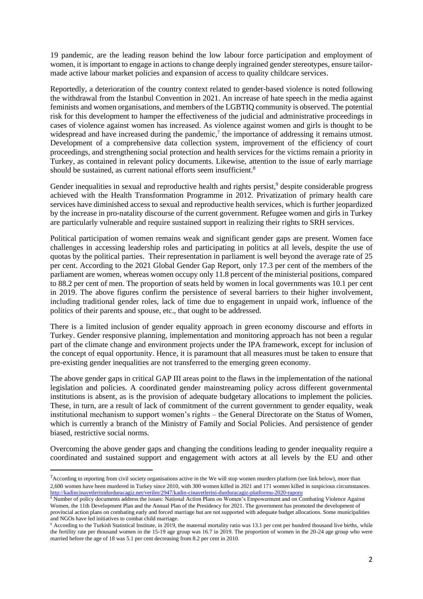19 pandemic, are the leading reason behind the low labour force participation and employment of women, it is important to engage in actions to change deeply ingrained gender stereotypes, ensure tailormade active labour market policies and expansion of access to quality childcare services.

Reportedly, a deterioration of the country context related to gender-based violence is noted following the withdrawal from the Istanbul Convention in 2021. An increase of hate speech in the media against feminists and women organisations, and members of the LGBTIQ community is observed. The potential risk for this development to hamper the effectiveness of the judicial and administrative proceedings in cases of violence against women has increased. As violence against women and girls is thought to be widespread and have increased during the pandemic,<sup>7</sup> the importance of addressing it remains utmost. Development of a comprehensive data collection system, improvement of the efficiency of court proceedings, and strengthening social protection and health services for the victims remain a priority in Turkey, as contained in relevant policy documents. Likewise, attention to the issue of early marriage should be sustained, as current national efforts seem insufficient.<sup>8</sup>

Gender inequalities in sexual and reproductive health and rights persist,<sup>9</sup> despite considerable progress achieved with the Health Transformation Programme in 2012. Privatization of primary health care services have diminished access to sexual and reproductive health services, which is further jeopardized by the increase in pro-natality discourse of the current government. Refugee women and girls in Turkey are particularly vulnerable and require sustained support in realizing their rights to SRH services.

Political participation of women remains weak and significant gender gaps are present. Women face challenges in accessing leadership roles and participating in politics at all levels, despite the use of quotas by the political parties. Their representation in parliament is well beyond the average rate of 25 per cent. According to the 2021 Global Gender Gap Report, only 17.3 per cent of the members of the parliament are women, whereas women occupy only 11.8 percent of the ministerial positions, compared to 88.2 per cent of men. The proportion of seats held by women in local governments was 10.1 per cent in 2019. The above figures confirm the persistence of several barriers to their higher involvement, including traditional gender roles, lack of time due to engagement in unpaid work, influence of the politics of their parents and spouse, etc., that ought to be addressed.

There is a limited inclusion of gender equality approach in green economy discourse and efforts in Turkey. Gender responsive planning, implementation and monitoring approach has not been a regular part of the climate change and environment projects under the IPA framework, except for inclusion of the concept of equal opportunity. Hence, it is paramount that all measures must be taken to ensure that pre-existing gender inequalities are not transferred to the emerging green economy.

The above gender gaps in critical GAP III areas point to the flaws in the implementation of the national legislation and policies. A coordinated gender mainstreaming policy across different governmental institutions is absent, as is the provision of adequate budgetary allocations to implement the policies. These, in turn, are a result of lack of commitment of the current government to gender equality, weak institutional mechanism to support women's rights – the General Directorate on the Status of Women, which is currently a branch of the Ministry of Family and Social Policies. And persistence of gender biased, restrictive social norms.

Overcoming the above gender gaps and changing the conditions leading to gender inequality require a coordinated and sustained support and engagement with actors at all levels by the EU and other

 $<sup>7</sup>$ According to reporting from civil society organisations active in the We will stop women murders platform (see link below), more than</sup> 2,600 women have been murdered in Turkey since 2010, with 300 women killed in 2021 and 171 women killed in suspicious circumstances. <http://kadincinayetlerinidurduracagiz.net/veriler/2947/kadin-cinayetlerini-durduracagiz-platformu-2020-raporu>

<sup>8</sup> Number of policy documents address the issues: National Action Plans on Women's Empowerment and on Combating Violence Against Women, the 11th Development Plan and the Annual Plan of the Presidency for 2021. The government has promoted the development of provincial action plans on combating early and forced marriage but are not supported with adequate budget allocations. Some municipalities and NGOs have led initiatives to combat child marriage.

<sup>&</sup>lt;sup>9</sup> According to the Turkish Statistical Institute, in 2019, the maternal mortality ratio was 13.1 per cent per hundred thousand live births, while the fertility rate per thousand women in the 15-19 age group was 16.7 in 2019. The proportion of women in the 20-24 age group who were married before the age of 18 was 5.1 per cent decreasing from 8.2 per cent in 2010.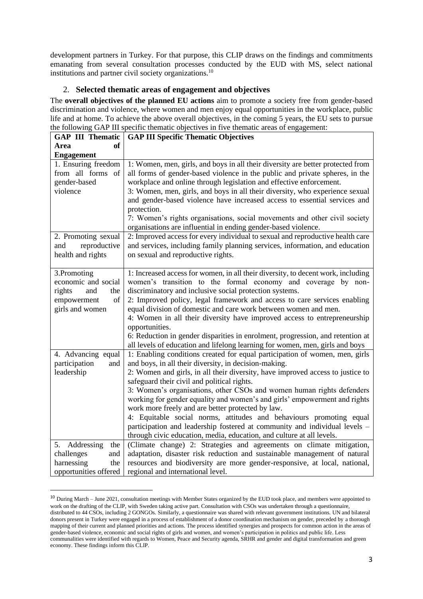development partners in Turkey. For that purpose, this CLIP draws on the findings and commitments emanating from several consultation processes conducted by the EUD with MS, select national institutions and partner civil society organizations.<sup>10</sup>

# 2. **Selected thematic areas of engagement and objectives**

The **overall objectives of the planned EU actions** aim to promote a society free from gender-based discrimination and violence, where women and men enjoy equal opportunities in the workplace, public life and at home. To achieve the above overall objectives, in the coming 5 years, the EU sets to pursue the following GAP III specific thematic objectives in five thematic areas of engagement:

| <b>GAP III Thematic</b>                                                                            | <b>GAP III Specific Thematic Objectives</b>                                                                                                                                                                                                                                                                                                                                                                                                                                                                                                                                                                                                                                                                                                                                            |
|----------------------------------------------------------------------------------------------------|----------------------------------------------------------------------------------------------------------------------------------------------------------------------------------------------------------------------------------------------------------------------------------------------------------------------------------------------------------------------------------------------------------------------------------------------------------------------------------------------------------------------------------------------------------------------------------------------------------------------------------------------------------------------------------------------------------------------------------------------------------------------------------------|
| of<br>Area                                                                                         |                                                                                                                                                                                                                                                                                                                                                                                                                                                                                                                                                                                                                                                                                                                                                                                        |
| <b>Engagement</b>                                                                                  |                                                                                                                                                                                                                                                                                                                                                                                                                                                                                                                                                                                                                                                                                                                                                                                        |
| 1. Ensuring freedom<br>from all forms of<br>gender-based<br>violence                               | 1: Women, men, girls, and boys in all their diversity are better protected from<br>all forms of gender-based violence in the public and private spheres, in the<br>workplace and online through legislation and effective enforcement.<br>3: Women, men, girls, and boys in all their diversity, who experience sexual<br>and gender-based violence have increased access to essential services and<br>protection.<br>7: Women's rights organisations, social movements and other civil society<br>organisations are influential in ending gender-based violence.                                                                                                                                                                                                                      |
| 2. Promoting sexual<br>reproductive<br>and<br>health and rights                                    | 2: Improved access for every individual to sexual and reproductive health care<br>and services, including family planning services, information, and education<br>on sexual and reproductive rights.                                                                                                                                                                                                                                                                                                                                                                                                                                                                                                                                                                                   |
| 3.Promoting<br>economic and social<br>rights<br>and<br>the<br>empowerment<br>of<br>girls and women | 1: Increased access for women, in all their diversity, to decent work, including<br>women's transition to the formal economy and coverage by non-<br>discriminatory and inclusive social protection systems.<br>2: Improved policy, legal framework and access to care services enabling<br>equal division of domestic and care work between women and men.<br>4: Women in all their diversity have improved access to entrepreneurship<br>opportunities.<br>6: Reduction in gender disparities in enrolment, progression, and retention at<br>all levels of education and lifelong learning for women, men, girls and boys                                                                                                                                                            |
| 4. Advancing equal<br>participation<br>and<br>leadership<br>Addressing<br>5.<br>the                | 1: Enabling conditions created for equal participation of women, men, girls<br>and boys, in all their diversity, in decision-making.<br>2: Women and girls, in all their diversity, have improved access to justice to<br>safeguard their civil and political rights.<br>3: Women's organisations, other CSOs and women human rights defenders<br>working for gender equality and women's and girls' empowerment and rights<br>work more freely and are better protected by law.<br>4: Equitable social norms, attitudes and behaviours promoting equal<br>participation and leadership fostered at community and individual levels -<br>through civic education, media, education, and culture at all levels.<br>(Climate change) 2: Strategies and agreements on climate mitigation, |
| challenges<br>and<br>harnessing<br>the<br>opportunities offered                                    | adaptation, disaster risk reduction and sustainable management of natural<br>resources and biodiversity are more gender-responsive, at local, national,<br>regional and international level.                                                                                                                                                                                                                                                                                                                                                                                                                                                                                                                                                                                           |

<sup>10</sup> During March – June 2021, consultation meetings with Member States organized by the EUD took place, and members were appointed to work on the drafting of the CLIP, with Sweden taking active part. Consultation with CSOs was undertaken through a questionnaire, distributed to 44 CSOs, including 2 GONGOs. Similarly, a questionnaire was shared with relevant government institutions. UN and bilateral donors present in Turkey were engaged in a process of establishment of a donor coordination mechanism on gender, preceded by a thorough mapping of their current and planned priorities and actions. The process identified synergies and prospects for common action in the areas of gender-based violence, economic and social rights of girls and women, and women's participation in politics and public life. Less communalities were identified with regards to Women, Peace and Security agenda, SRHR and gender and digital transformation and green economy. These findings inform this CLIP.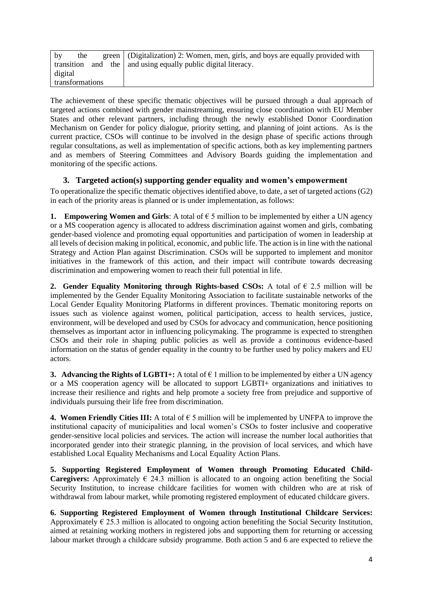| $_{\rm by}$     | the |  |  | green (Digitalization) 2: Women, men, girls, and boys are equally provided with |
|-----------------|-----|--|--|---------------------------------------------------------------------------------|
| transition      |     |  |  | and the   and using equally public digital literacy.                            |
| digital         |     |  |  |                                                                                 |
| transformations |     |  |  |                                                                                 |

The achievement of these specific thematic objectives will be pursued through a dual approach of targeted actions combined with gender mainstreaming, ensuring close coordination with EU Member States and other relevant partners, including through the newly established Donor Coordination Mechanism on Gender for policy dialogue, priority setting, and planning of joint actions. As is the current practice, CSOs will continue to be involved in the design phase of specific actions through regular consultations, as well as implementation of specific actions, both as key implementing partners and as members of Steering Committees and Advisory Boards guiding the implementation and monitoring of the specific actions.

# **3. Targeted action(s) supporting gender equality and women's empowerment**

To operationalize the specific thematic objectives identified above, to date, a set of targeted actions (G2) in each of the priority areas is planned or is under implementation, as follows:

**1. Empowering Women and Girls:** A total of  $\epsilon$  5 million to be implemented by either a UN agency or a MS cooperation agency is allocated to address discrimination against women and girls, combating gender-based violence and promoting equal opportunities and participation of women in leadership at all levels of decision making in political, economic, and public life. The action is in line with the national Strategy and Action Plan against Discrimination. CSOs will be supported to implement and monitor initiatives in the framework of this action, and their impact will contribute towards decreasing discrimination and empowering women to reach their full potential in life.

**2. Gender Equality Monitoring through Rights-based CSOs:** A total of  $\epsilon$  2.5 million will be implemented by the Gender Equality Monitoring Association to facilitate sustainable networks of the Local Gender Equality Monitoring Platforms in different provinces. Thematic monitoring reports on issues such as violence against women, political participation, access to health services, justice, environment, will be developed and used by CSOs for advocacy and communication, hence positioning themselves as important actor in influencing policymaking. The programme is expected to strengthen CSOs and their role in shaping public policies as well as provide a continuous evidence-based information on the status of gender equality in the country to be further used by policy makers and EU actors.

**3. Advancing the Rights of LGBTI+:** A total of  $\epsilon$  1 million to be implemented by either a UN agency or a MS cooperation agency will be allocated to support LGBTI+ organizations and initiatives to increase their resilience and rights and help promote a society free from prejudice and supportive of individuals pursuing their life free from discrimination.

**4. Women Friendly Cities III:** A total of  $\epsilon$  5 million will be implemented by UNFPA to improve the institutional capacity of municipalities and local women's CSOs to foster inclusive and cooperative gender-sensitive local policies and services. The action will increase the number local authorities that incorporated gender into their strategic planning, in the provision of local services, and which have established Local Equality Mechanisms and Local Equality Action Plans.

**5. Supporting Registered Employment of Women through Promoting Educated Child-Caregivers:** Approximately  $\in$  24.3 million is allocated to an ongoing action benefiting the Social Security Institution, to increase childcare facilities for women with children who are at risk of withdrawal from labour market, while promoting registered employment of educated childcare givers.

**6. Supporting Registered Employment of Women through Institutional Childcare Services:** Approximately  $\epsilon$  25.3 million is allocated to ongoing action benefiting the Social Security Institution, aimed at retaining working mothers in registered jobs and supporting them for returning or accessing labour market through a childcare subsidy programme. Both action 5 and 6 are expected to relieve the